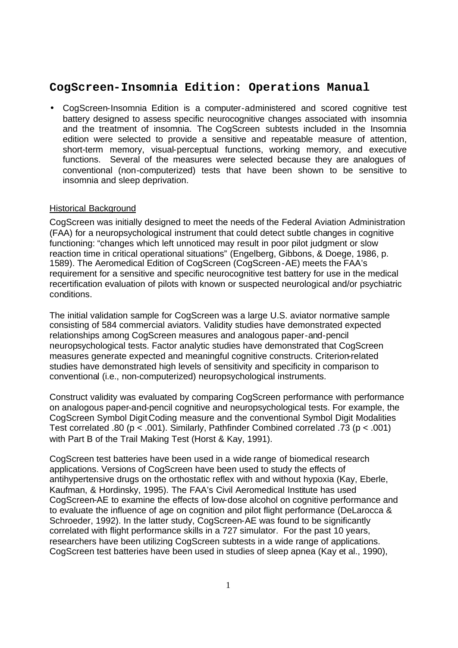# **CogScreen-Insomnia Edition: Operations Manual**

• CogScreen-Insomnia Edition is a computer-administered and scored cognitive test battery designed to assess specific neurocognitive changes associated with insomnia and the treatment of insomnia. The CogScreen subtests included in the Insomnia edition were selected to provide a sensitive and repeatable measure of attention, short-term memory, visual-perceptual functions, working memory, and executive functions. Several of the measures were selected because they are analogues of conventional (non-computerized) tests that have been shown to be sensitive to insomnia and sleep deprivation.

#### Historical Background

CogScreen was initially designed to meet the needs of the Federal Aviation Administration (FAA) for a neuropsychological instrument that could detect subtle changes in cognitive functioning: "changes which left unnoticed may result in poor pilot judgment or slow reaction time in critical operational situations" (Engelberg, Gibbons, & Doege, 1986, p. 1589). The Aeromedical Edition of CogScreen (CogScreen-AE) meets the FAA's requirement for a sensitive and specific neurocognitive test battery for use in the medical recertification evaluation of pilots with known or suspected neurological and/or psychiatric conditions.

The initial validation sample for CogScreen was a large U.S. aviator normative sample consisting of 584 commercial aviators. Validity studies have demonstrated expected relationships among CogScreen measures and analogous paper-and-pencil neuropsychological tests. Factor analytic studies have demonstrated that CogScreen measures generate expected and meaningful cognitive constructs. Criterion-related studies have demonstrated high levels of sensitivity and specificity in comparison to conventional (i.e., non-computerized) neuropsychological instruments.

Construct validity was evaluated by comparing CogScreen performance with performance on analogous paper-and-pencil cognitive and neuropsychological tests. For example, the CogScreen Symbol Digit Coding measure and the conventional Symbol Digit Modalities Test correlated .80 (p < .001). Similarly, Pathfinder Combined correlated .73 (p < .001) with Part B of the Trail Making Test (Horst & Kay, 1991).

CogScreen test batteries have been used in a wide range of biomedical research applications. Versions of CogScreen have been used to study the effects of antihypertensive drugs on the orthostatic reflex with and without hypoxia (Kay, Eberle, Kaufman, & Hordinsky, 1995). The FAA's Civil Aeromedical Institute has used CogScreen-AE to examine the effects of low-dose alcohol on cognitive performance and to evaluate the influence of age on cognition and pilot flight performance (DeLarocca & Schroeder, 1992). In the latter study, CogScreen-AE was found to be significantly correlated with flight performance skills in a 727 simulator. For the past 10 years, researchers have been utilizing CogScreen subtests in a wide range of applications. CogScreen test batteries have been used in studies of sleep apnea (Kay et al., 1990),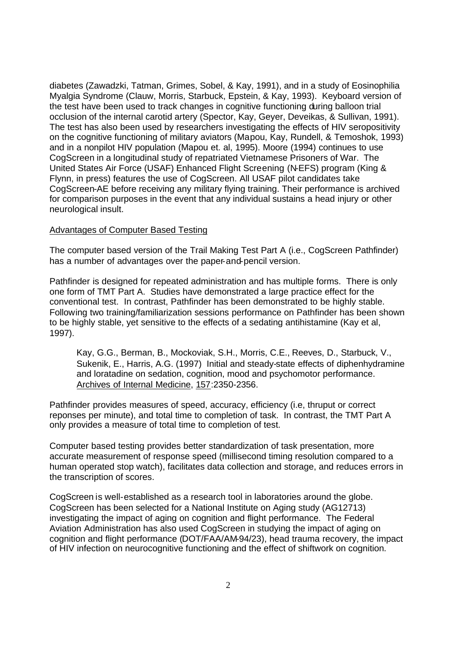diabetes (Zawadzki, Tatman, Grimes, Sobel, & Kay, 1991), and in a study of Eosinophilia Myalgia Syndrome (Clauw, Morris, Starbuck, Epstein, & Kay, 1993). Keyboard version of the test have been used to track changes in cognitive functioning during balloon trial occlusion of the internal carotid artery (Spector, Kay, Geyer, Deveikas, & Sullivan, 1991). The test has also been used by researchers investigating the effects of HIV seropositivity on the cognitive functioning of military aviators (Mapou, Kay, Rundell, & Temoshok, 1993) and in a nonpilot HIV population (Mapou et. al, 1995). Moore (1994) continues to use CogScreen in a longitudinal study of repatriated Vietnamese Prisoners of War. The United States Air Force (USAF) Enhanced Flight Screening (N-EFS) program (King & Flynn, in press) features the use of CogScreen. All USAF pilot candidates take CogScreen-AE before receiving any military flying training. Their performance is archived for comparison purposes in the event that any individual sustains a head injury or other neurological insult.

#### Advantages of Computer Based Testing

The computer based version of the Trail Making Test Part A (i.e., CogScreen Pathfinder) has a number of advantages over the paper-and-pencil version.

Pathfinder is designed for repeated administration and has multiple forms. There is only one form of TMT Part A. Studies have demonstrated a large practice effect for the conventional test. In contrast, Pathfinder has been demonstrated to be highly stable. Following two training/familiarization sessions performance on Pathfinder has been shown to be highly stable, yet sensitive to the effects of a sedating antihistamine (Kay et al, 1997).

Kay, G.G., Berman, B., Mockoviak, S.H., Morris, C.E., Reeves, D., Starbuck, V., Sukenik, E., Harris, A.G. (1997) Initial and steady-state effects of diphenhydramine and loratadine on sedation, cognition, mood and psychomotor performance. Archives of Internal Medicine, 157:2350-2356.

Pathfinder provides measures of speed, accuracy, efficiency (i.e, thruput or correct reponses per minute), and total time to completion of task. In contrast, the TMT Part A only provides a measure of total time to completion of test.

Computer based testing provides better standardization of task presentation, more accurate measurement of response speed (millisecond timing resolution compared to a human operated stop watch), facilitates data collection and storage, and reduces errors in the transcription of scores.

CogScreen is well-established as a research tool in laboratories around the globe. CogScreen has been selected for a National Institute on Aging study (AG12713) investigating the impact of aging on cognition and flight performance. The Federal Aviation Administration has also used CogScreen in studying the impact of aging on cognition and flight performance (DOT/FAA/AM-94/23), head trauma recovery, the impact of HIV infection on neurocognitive functioning and the effect of shiftwork on cognition.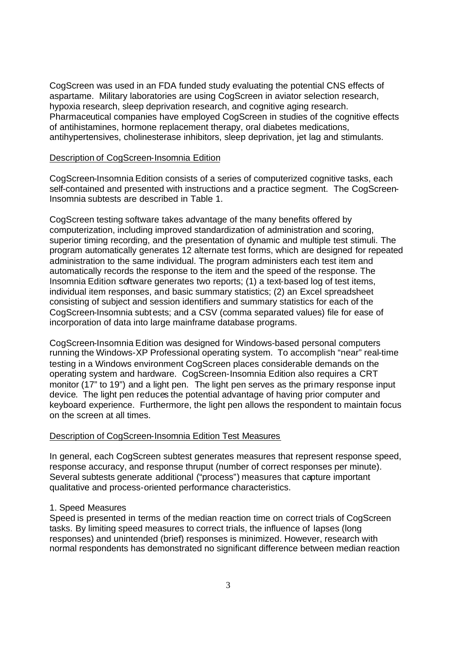CogScreen was used in an FDA funded study evaluating the potential CNS effects of aspartame. Military laboratories are using CogScreen in aviator selection research, hypoxia research, sleep deprivation research, and cognitive aging research. Pharmaceutical companies have employed CogScreen in studies of the cognitive effects of antihistamines, hormone replacement therapy, oral diabetes medications, antihypertensives, cholinesterase inhibitors, sleep deprivation, jet lag and stimulants.

## Description of CogScreen-Insomnia Edition

CogScreen-Insomnia Edition consists of a series of computerized cognitive tasks, each self-contained and presented with instructions and a practice segment. The CogScreen-Insomnia subtests are described in Table 1.

CogScreen testing software takes advantage of the many benefits offered by computerization, including improved standardization of administration and scoring, superior timing recording, and the presentation of dynamic and multiple test stimuli. The program automatically generates 12 alternate test forms, which are designed for repeated administration to the same individual. The program administers each test item and automatically records the response to the item and the speed of the response. The Insomnia Edition software generates two reports; (1) a text-based log of test items, individual item responses, and basic summary statistics; (2) an Excel spreadsheet consisting of subject and session identifiers and summary statistics for each of the CogScreen-Insomnia subtests; and a CSV (comma separated values) file for ease of incorporation of data into large mainframe database programs.

CogScreen-Insomnia Edition was designed for Windows-based personal computers running the Windows-XP Professional operating system. To accomplish "near" real-time testing in a Windows environment CogScreen places considerable demands on the operating system and hardware. CogScreen-Insomnia Edition also requires a CRT monitor (17" to 19") and a light pen. The light pen serves as the primary response input device. The light pen reduces the potential advantage of having prior computer and keyboard experience. Furthermore, the light pen allows the respondent to maintain focus on the screen at all times.

## Description of CogScreen-Insomnia Edition Test Measures

In general, each CogScreen subtest generates measures that represent response speed, response accuracy, and response thruput (number of correct responses per minute). Several subtests generate additional ("process") measures that capture important qualitative and process-oriented performance characteristics.

## 1. Speed Measures

Speed is presented in terms of the median reaction time on correct trials of CogScreen tasks. By limiting speed measures to correct trials, the influence of lapses (long responses) and unintended (brief) responses is minimized. However, research with normal respondents has demonstrated no significant difference between median reaction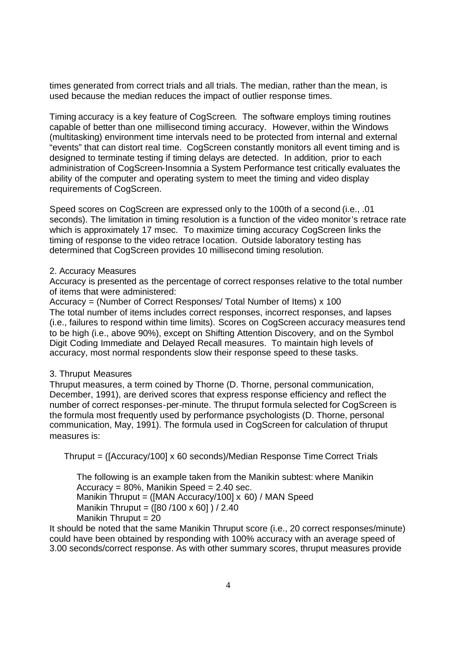times generated from correct trials and all trials. The median, rather than the mean, is used because the median reduces the impact of outlier response times.

Timing accuracy is a key feature of CogScreen. The software employs timing routines capable of better than one millisecond timing accuracy. However, within the Windows (multitasking) environment time intervals need to be protected from internal and external "events" that can distort real time. CogScreen constantly monitors all event timing and is designed to terminate testing if timing delays are detected. In addition, prior to each administration of CogScreen-Insomnia a System Performance test critically evaluates the ability of the computer and operating system to meet the timing and video display requirements of CogScreen.

Speed scores on CogScreen are expressed only to the 100th of a second (i.e., .01 seconds). The limitation in timing resolution is a function of the video monitor's retrace rate which is approximately 17 msec. To maximize timing accuracy CogScreen links the timing of response to the video retrace location. Outside laboratory testing has determined that CogScreen provides 10 millisecond timing resolution.

## 2. Accuracy Measures

Accuracy is presented as the percentage of correct responses relative to the total number of items that were administered:

Accuracy = (Number of Correct Responses/ Total Number of Items) x 100 The total number of items includes correct responses, incorrect responses, and lapses (i.e., failures to respond within time limits). Scores on CogScreen accuracy measures tend to be high (i.e., above 90%), except on Shifting Attention Discovery, and on the Symbol Digit Coding Immediate and Delayed Recall measures. To maintain high levels of accuracy, most normal respondents slow their response speed to these tasks.

# 3. Thruput Measures

Thruput measures, a term coined by Thorne (D. Thorne, personal communication, December, 1991), are derived scores that express response efficiency and reflect the number of correct responses-per-minute. The thruput formula selected for CogScreen is the formula most frequently used by performance psychologists (D. Thorne, personal communication, May, 1991). The formula used in CogScreen for calculation of thruput measures is:

Thruput = ([Accuracy/100] x 60 seconds)/Median Response Time Correct Trials

The following is an example taken from the Manikin subtest: where Manikin  $Accuracy = 80\%$ , Manikin Speed = 2.40 sec. Manikin Thruput = ([MAN Accuracy/100] x 60) / MAN Speed Manikin Thruput = ([80 /100 x 60] ) / 2.40 Manikin Thruput = 20

It should be noted that the same Manikin Thruput score (i.e., 20 correct responses/minute) could have been obtained by responding with 100% accuracy with an average speed of 3.00 seconds/correct response. As with other summary scores, thruput measures provide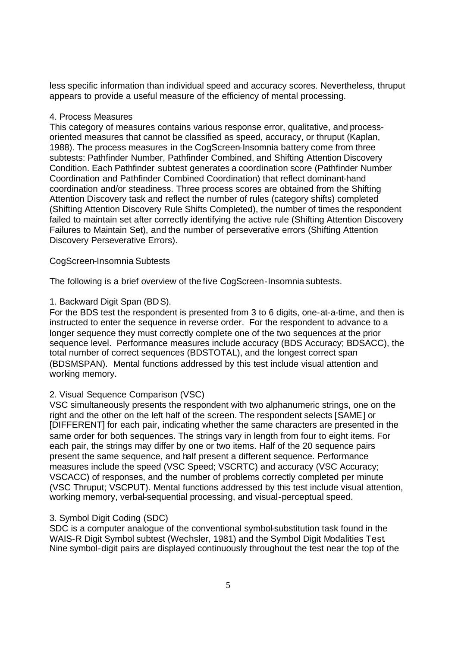less specific information than individual speed and accuracy scores. Nevertheless, thruput appears to provide a useful measure of the efficiency of mental processing.

#### 4. Process Measures

This category of measures contains various response error, qualitative, and processoriented measures that cannot be classified as speed, accuracy, or thruput (Kaplan, 1988). The process measures in the CogScreen-Insomnia battery come from three subtests: Pathfinder Number, Pathfinder Combined, and Shifting Attention Discovery Condition. Each Pathfinder subtest generates a coordination score (Pathfinder Number Coordination and Pathfinder Combined Coordination) that reflect dominant-hand coordination and/or steadiness. Three process scores are obtained from the Shifting Attention Discovery task and reflect the number of rules (category shifts) completed (Shifting Attention Discovery Rule Shifts Completed), the number of times the respondent failed to maintain set after correctly identifying the active rule (Shifting Attention Discovery Failures to Maintain Set), and the number of perseverative errors (Shifting Attention Discovery Perseverative Errors).

## CogScreen-Insomnia Subtests

The following is a brief overview of the five CogScreen-Insomnia subtests.

## 1. Backward Digit Span (BDS).

For the BDS test the respondent is presented from 3 to 6 digits, one-at-a-time, and then is instructed to enter the sequence in reverse order. For the respondent to advance to a longer sequence they must correctly complete one of the two sequences at the prior sequence level. Performance measures include accuracy (BDS Accuracy; BDSACC), the total number of correct sequences (BDSTOTAL), and the longest correct span (BDSMSPAN). Mental functions addressed by this test include visual attention and working memory.

## 2. Visual Sequence Comparison (VSC)

VSC simultaneously presents the respondent with two alphanumeric strings, one on the right and the other on the left half of the screen. The respondent selects [SAME] or [DIFFERENT] for each pair, indicating whether the same characters are presented in the same order for both sequences. The strings vary in length from four to eight items. For each pair, the strings may differ by one or two items. Half of the 20 sequence pairs present the same sequence, and half present a different sequence. Performance measures include the speed (VSC Speed; VSCRTC) and accuracy (VSC Accuracy; VSCACC) of responses, and the number of problems correctly completed per minute (VSC Thruput; VSCPUT). Mental functions addressed by this test include visual attention, working memory, verbal-sequential processing, and visual-perceptual speed.

## 3. Symbol Digit Coding (SDC)

SDC is a computer analogue of the conventional symbol-substitution task found in the WAIS-R Digit Symbol subtest (Wechsler, 1981) and the Symbol Digit Modalities Test. Nine symbol-digit pairs are displayed continuously throughout the test near the top of the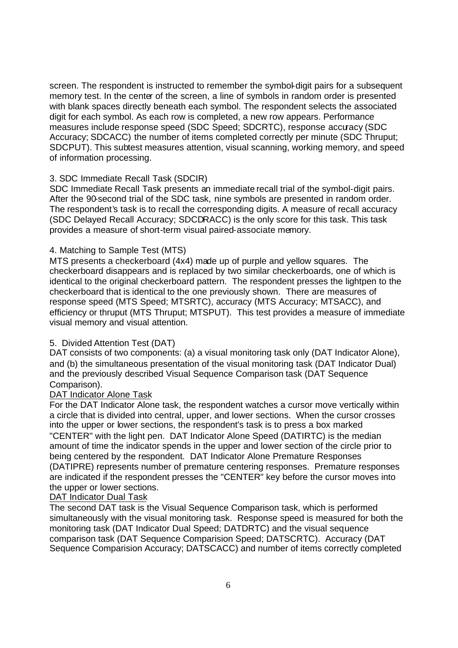screen. The respondent is instructed to remember the symbol-digit pairs for a subsequent memory test. In the center of the screen, a line of symbols in random order is presented with blank spaces directly beneath each symbol. The respondent selects the associated digit for each symbol. As each row is completed, a new row appears. Performance measures include response speed (SDC Speed; SDCRTC), response accuracy (SDC Accuracy; SDCACC) the number of items completed correctly per minute (SDC Thruput; SDCPUT). This subtest measures attention, visual scanning, working memory, and speed of information processing.

# 3. SDC Immediate Recall Task (SDCIR)

SDC Immediate Recall Task presents an immediate recall trial of the symbol-digit pairs. After the 90-second trial of the SDC task, nine symbols are presented in random order. The respondent's task is to recall the corresponding digits. A measure of recall accuracy (SDC Delayed Recall Accuracy; SDCDRACC) is the only score for this task. This task provides a measure of short-term visual paired-associate memory.

# 4. Matching to Sample Test (MTS)

MTS presents a checkerboard (4x4) made up of purple and yellow squares. The checkerboard disappears and is replaced by two similar checkerboards, one of which is identical to the original checkerboard pattern. The respondent presses the lightpen to the checkerboard that is identical to the one previously shown. There are measures of response speed (MTS Speed; MTSRTC), accuracy (MTS Accuracy; MTSACC), and efficiency or thruput (MTS Thruput; MTSPUT). This test provides a measure of immediate visual memory and visual attention.

# 5. Divided Attention Test (DAT)

DAT consists of two components: (a) a visual monitoring task only (DAT Indicator Alone), and (b) the simultaneous presentation of the visual monitoring task (DAT Indicator Dual) and the previously described Visual Sequence Comparison task (DAT Sequence Comparison).

# DAT Indicator Alone Task

For the DAT Indicator Alone task, the respondent watches a cursor move vertically within a circle that is divided into central, upper, and lower sections. When the cursor crosses into the upper or lower sections, the respondent's task is to press a box marked "CENTER" with the light pen. DAT Indicator Alone Speed (DATIRTC) is the median amount of time the indicator spends in the upper and lower section of the circle prior to being centered by the respondent. DAT Indicator Alone Premature Responses (DATIPRE) represents number of premature centering responses. Premature responses are indicated if the respondent presses the "CENTER" key before the cursor moves into the upper or lower sections.

# DAT Indicator Dual Task

The second DAT task is the Visual Sequence Comparison task, which is performed simultaneously with the visual monitoring task. Response speed is measured for both the monitoring task (DAT Indicator Dual Speed; DATDRTC) and the visual sequence comparison task (DAT Sequence Comparision Speed; DATSCRTC). Accuracy (DAT Sequence Comparision Accuracy; DATSCACC) and number of items correctly completed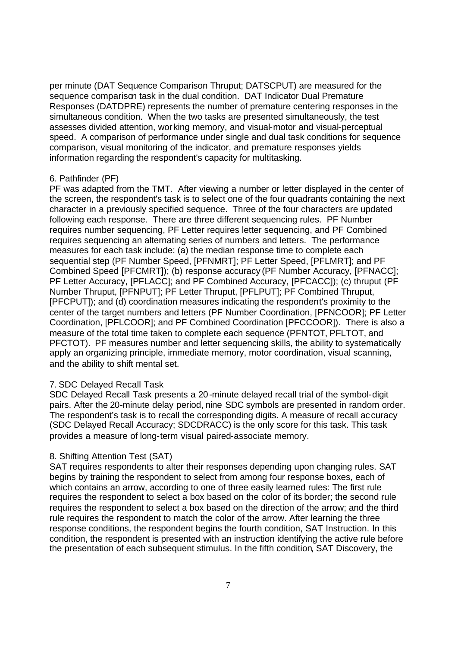per minute (DAT Sequence Comparison Thruput; DATSCPUT) are measured for the sequence comparison task in the dual condition. DAT Indicator Dual Premature Responses (DATDPRE) represents the number of premature centering responses in the simultaneous condition. When the two tasks are presented simultaneously, the test assesses divided attention, working memory, and visual-motor and visual-perceptual speed. A comparison of performance under single and dual task conditions for sequence comparison, visual monitoring of the indicator, and premature responses yields information regarding the respondent's capacity for multitasking.

#### 6. Pathfinder (PF)

PF was adapted from the TMT. After viewing a number or letter displayed in the center of the screen, the respondent's task is to select one of the four quadrants containing the next character in a previously specified sequence. Three of the four characters are updated following each response. There are three different sequencing rules. PF Number requires number sequencing, PF Letter requires letter sequencing, and PF Combined requires sequencing an alternating series of numbers and letters. The performance measures for each task include: (a) the median response time to complete each sequential step (PF Number Speed, [PFNMRT]; PF Letter Speed, [PFLMRT]; and PF Combined Speed [PFCMRT]); (b) response accuracy (PF Number Accuracy, [PFNACC]; PF Letter Accuracy, [PFLACC]; and PF Combined Accuracy, [PFCACC]); (c) thruput (PF Number Thruput, [PFNPUT]; PF Letter Thruput, [PFLPUT]; PF Combined Thruput, [PFCPUT]); and (d) coordination measures indicating the respondent's proximity to the center of the target numbers and letters (PF Number Coordination, [PFNCOOR]; PF Letter Coordination, [PFLCOOR]; and PF Combined Coordination [PFCCOOR]). There is also a measure of the total time taken to complete each sequence (PFNTOT, PFLTOT, and PFCTOT). PF measures number and letter sequencing skills, the ability to systematically apply an organizing principle, immediate memory, motor coordination, visual scanning, and the ability to shift mental set.

## 7. SDC Delayed Recall Task

SDC Delayed Recall Task presents a 20-minute delayed recall trial of the symbol-digit pairs. After the 20-minute delay period, nine SDC symbols are presented in random order. The respondent's task is to recall the corresponding digits. A measure of recall ac curacy (SDC Delayed Recall Accuracy; SDCDRACC) is the only score for this task. This task provides a measure of long-term visual paired-associate memory.

## 8. Shifting Attention Test (SAT)

SAT requires respondents to alter their responses depending upon changing rules. SAT begins by training the respondent to select from among four response boxes, each of which contains an arrow, according to one of three easily learned rules: The first rule requires the respondent to select a box based on the color of its border; the second rule requires the respondent to select a box based on the direction of the arrow; and the third rule requires the respondent to match the color of the arrow. After learning the three response conditions, the respondent begins the fourth condition, SAT Instruction. In this condition, the respondent is presented with an instruction identifying the active rule before the presentation of each subsequent stimulus. In the fifth condition, SAT Discovery, the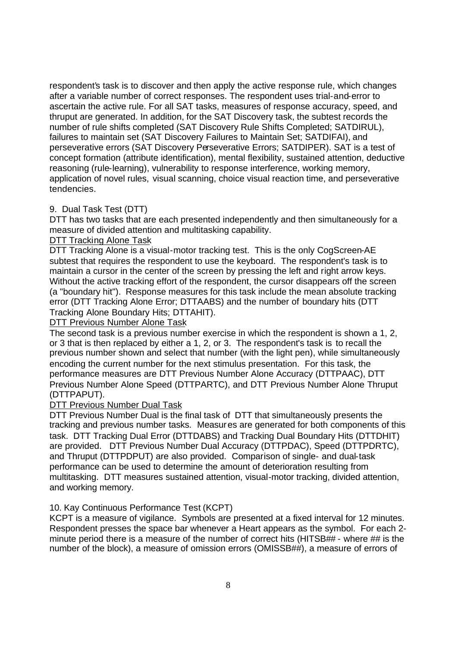respondent's task is to discover and then apply the active response rule, which changes after a variable number of correct responses. The respondent uses trial-and-error to ascertain the active rule. For all SAT tasks, measures of response accuracy, speed, and thruput are generated. In addition, for the SAT Discovery task, the subtest records the number of rule shifts completed (SAT Discovery Rule Shifts Completed; SATDIRUL), failures to maintain set (SAT Discovery Failures to Maintain Set; SATDIFAI), and perseverative errors (SAT Discovery Perseverative Errors; SATDIPER). SAT is a test of concept formation (attribute identification), mental flexibility, sustained attention, deductive reasoning (rule-learning), vulnerability to response interference, working memory, application of novel rules, visual scanning, choice visual reaction time, and perseverative tendencies.

# 9. Dual Task Test (DTT)

DTT has two tasks that are each presented independently and then simultaneously for a measure of divided attention and multitasking capability.

# DTT Tracking Alone Task

DTT Tracking Alone is a visual-motor tracking test. This is the only CogScreen-AE subtest that requires the respondent to use the keyboard. The respondent's task is to maintain a cursor in the center of the screen by pressing the left and right arrow keys. Without the active tracking effort of the respondent, the cursor disappears off the screen (a "boundary hit"). Response measures for this task include the mean absolute tracking error (DTT Tracking Alone Error; DTTAABS) and the number of boundary hits (DTT Tracking Alone Boundary Hits; DTTAHIT).

DTT Previous Number Alone Task

The second task is a previous number exercise in which the respondent is shown a 1, 2, or 3 that is then replaced by either a 1, 2, or 3. The respondent's task is to recall the previous number shown and select that number (with the light pen), while simultaneously encoding the current number for the next stimulus presentation. For this task, the performance measures are DTT Previous Number Alone Accuracy (DTTPAAC), DTT Previous Number Alone Speed (DTTPARTC), and DTT Previous Number Alone Thruput (DTTPAPUT).

## DTT Previous Number Dual Task

DTT Previous Number Dual is the final task of DTT that simultaneously presents the tracking and previous number tasks. Measures are generated for both components of this task. DTT Tracking Dual Error (DTTDABS) and Tracking Dual Boundary Hits (DTTDHIT) are provided. DTT Previous Number Dual Accuracy (DTTPDAC), Speed (DTTPDRTC), and Thruput (DTTPDPUT) are also provided. Comparison of single- and dual-task performance can be used to determine the amount of deterioration resulting from multitasking. DTT measures sustained attention, visual-motor tracking, divided attention, and working memory.

## 10. Kay Continuous Performance Test (KCPT)

KCPT is a measure of vigilance. Symbols are presented at a fixed interval for 12 minutes. Respondent presses the space bar whenever a Heart appears as the symbol. For each 2 minute period there is a measure of the number of correct hits (HITSB## - where ## is the number of the block), a measure of omission errors (OMISSB##), a measure of errors of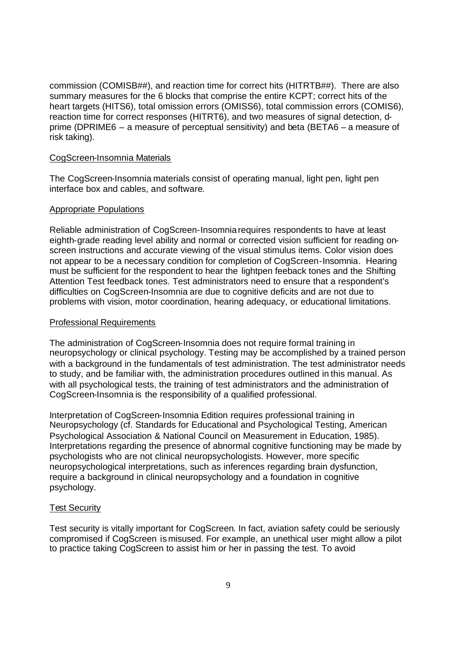commission (COMISB##), and reaction time for correct hits (HITRTB##). There are also summary measures for the 6 blocks that comprise the entire KCPT; correct hits of the heart targets (HITS6), total omission errors (OMISS6), total commission errors (COMIS6), reaction time for correct responses (HITRT6), and two measures of signal detection, dprime (DPRIME6 – a measure of perceptual sensitivity) and beta (BETA6 – a measure of risk taking).

#### CogScreen-Insomnia Materials

The CogScreen-Insomnia materials consist of operating manual, light pen, light pen interface box and cables, and software.

#### Appropriate Populations

Reliable administration of CogScreen-Insomniarequires respondents to have at least eighth-grade reading level ability and normal or corrected vision sufficient for reading onscreen instructions and accurate viewing of the visual stimulus items. Color vision does not appear to be a necessary condition for completion of CogScreen-Insomnia. Hearing must be sufficient for the respondent to hear the lightpen feeback tones and the Shifting Attention Test feedback tones. Test administrators need to ensure that a respondent's difficulties on CogScreen-Insomnia are due to cognitive deficits and are not due to problems with vision, motor coordination, hearing adequacy, or educational limitations.

## Professional Requirements

The administration of CogScreen-Insomnia does not require formal training in neuropsychology or clinical psychology. Testing may be accomplished by a trained person with a background in the fundamentals of test administration. The test administrator needs to study, and be familiar with, the administration procedures outlined in this manual. As with all psychological tests, the training of test administrators and the administration of CogScreen-Insomnia is the responsibility of a qualified professional.

Interpretation of CogScreen-Insomnia Edition requires professional training in Neuropsychology (cf. Standards for Educational and Psychological Testing, American Psychological Association & National Council on Measurement in Education, 1985). Interpretations regarding the presence of abnormal cognitive functioning may be made by psychologists who are not clinical neuropsychologists. However, more specific neuropsychological interpretations, such as inferences regarding brain dysfunction, require a background in clinical neuropsychology and a foundation in cognitive psychology.

## Test Security

Test security is vitally important for CogScreen. In fact, aviation safety could be seriously compromised if CogScreen is misused. For example, an unethical user might allow a pilot to practice taking CogScreen to assist him or her in passing the test. To avoid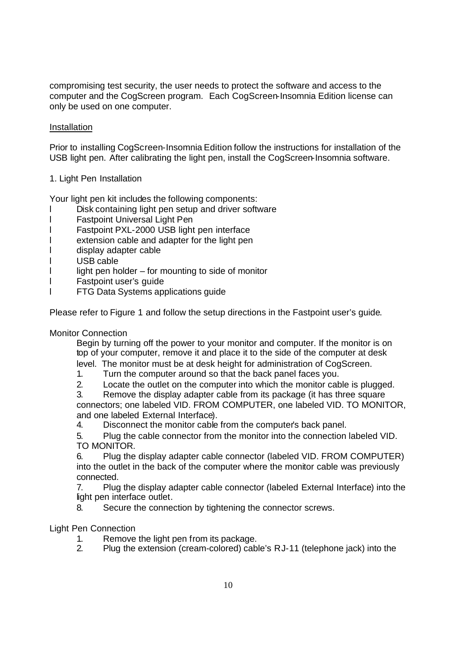compromising test security, the user needs to protect the software and access to the computer and the CogScreen program. Each CogScreen-Insomnia Edition license can only be used on one computer.

# Installation

Prior to installing CogScreen-Insomnia Edition follow the instructions for installation of the USB light pen. After calibrating the light pen, install the CogScreen-Insomnia software.

1. Light Pen Installation

Your light pen kit includes the following components:

- l Disk containing light pen setup and driver software
- l Fastpoint Universal Light Pen
- l Fastpoint PXL-2000 USB light pen interface
- l extension cable and adapter for the light pen
- l display adapter cable
- l USB cable
- $\mathsf{l}$  light pen holder for mounting to side of monitor
- l Fastpoint user's guide
- l FTG Data Systems applications guide

Please refer to Figure 1 and follow the setup directions in the Fastpoint user's guide.

Monitor Connection

Begin by turning off the power to your monitor and computer. If the monitor is on top of your computer, remove it and place it to the side of the computer at desk level. The monitor must be at desk height for administration of CogScreen.

- 1. Turn the computer around so that the back panel faces you.
- 2. Locate the outlet on the computer into which the monitor cable is plugged.

3. Remove the display adapter cable from its package (it has three square connectors; one labeled VID. FROM COMPUTER, one labeled VID. TO MONITOR, and one labeled External Interface).

4. Disconnect the monitor cable from the computer's back panel.

5. Plug the cable connector from the monitor into the connection labeled VID. TO MONITOR.

6. Plug the display adapter cable connector (labeled VID. FROM COMPUTER) into the outlet in the back of the computer where the monitor cable was previously connected.

7. Plug the display adapter cable connector (labeled External Interface) into the light pen interface outlet.

8. Secure the connection by tightening the connector screws.

# Light Pen Connection

- 1. Remove the light pen from its package.
- 2. Plug the extension (cream-colored) cable's RJ-11 (telephone jack) into the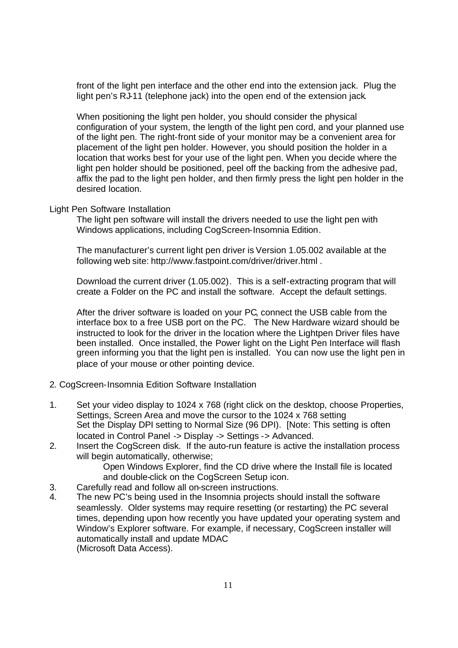front of the light pen interface and the other end into the extension jack. Plug the light pen's RJ-11 (telephone jack) into the open end of the extension jack.

When positioning the light pen holder, you should consider the physical configuration of your system, the length of the light pen cord, and your planned use of the light pen. The right-front side of your monitor may be a convenient area for placement of the light pen holder. However, you should position the holder in a location that works best for your use of the light pen. When you decide where the light pen holder should be positioned, peel off the backing from the adhesive pad, affix the pad to the light pen holder, and then firmly press the light pen holder in the desired location.

#### Light Pen Software Installation

The light pen software will install the drivers needed to use the light pen with Windows applications, including CogScreen-Insomnia Edition.

The manufacturer's current light pen driver is Version 1.05.002 available at the following web site: http://www.fastpoint.com/driver/driver.html .

Download the current driver (1.05.002). This is a self-extracting program that will create a Folder on the PC and install the software. Accept the default settings.

After the driver software is loaded on your PC, connect the USB cable from the interface box to a free USB port on the PC. The New Hardware wizard should be instructed to look for the driver in the location where the Lightpen Driver files have been installed. Once installed, the Power light on the Light Pen Interface will flash green informing you that the light pen is installed. You can now use the light pen in place of your mouse or other pointing device.

#### 2. CogScreen-Insomnia Edition Software Installation

- 1. Set your video display to 1024 x 768 (right click on the desktop, choose Properties, Settings, Screen Area and move the cursor to the 1024 x 768 setting Set the Display DPI setting to Normal Size (96 DPI). [Note: This setting is often located in Control Panel -> Display -> Settings -> Advanced.
- 2. Insert the CogScreen disk. If the auto-run feature is active the installation process will begin automatically, otherwise;

Open Windows Explorer, find the CD drive where the Install file is located and double-click on the CogScreen Setup icon.

- 3. Carefully read and follow all on-screen instructions.
- 4. The new PC's being used in the Insomnia projects should install the software seamlessly. Older systems may require resetting (or restarting) the PC several times, depending upon how recently you have updated your operating system and Window's Explorer software. For example, if necessary, CogScreen installer will automatically install and update MDAC (Microsoft Data Access).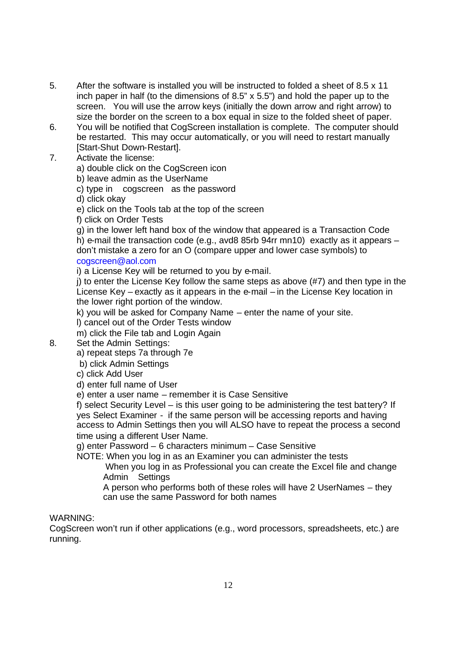- 5. After the software is installed you will be instructed to folded a sheet of 8.5 x 11 inch paper in half (to the dimensions of 8.5" x 5.5") and hold the paper up to the screen. You will use the arrow keys (initially the down arrow and right arrow) to size the border on the screen to a box equal in size to the folded sheet of paper.
- 6. You will be notified that CogScreen installation is complete. The computer should be restarted. This may occur automatically, or you will need to restart manually [Start-Shut Down-Restart].
- 7. Activate the license:

a) double click on the CogScreen icon

b) leave admin as the UserName

c) type in cogscreen as the password

d) click okay

- e) click on the Tools tab at the top of the screen
- f) click on Order Tests

g) in the lower left hand box of the window that appeared is a Transaction Code h) e-mail the transaction code (e.g., avd8 85rb 94rr mn10) exactly as it appears – don't mistake a zero for an O (compare upper and lower case symbols) to

# cogscreen@aol.com

i) a License Key will be returned to you by e-mail.

j) to enter the License Key follow the same steps as above (#7) and then type in the License Key – exactly as it appears in the e-mail – in the License Key location in the lower right portion of the window.

k) you will be asked for Company Name – enter the name of your site.

l) cancel out of the Order Tests window

m) click the File tab and Login Again

8. Set the Admin Settings:

a) repeat steps 7a through 7e

b) click Admin Settings

c) click Add User

d) enter full name of User

e) enter a user name – remember it is Case Sensitive

f) select Security Level – is this user going to be administering the test battery? If yes Select Examiner - if the same person will be accessing reports and having access to Admin Settings then you will ALSO have to repeat the process a second time using a different User Name.

g) enter Password – 6 characters minimum – Case Sensitive

NOTE: When you log in as an Examiner you can administer the tests

When you log in as Professional you can create the Excel file and change Admin Settings

A person who performs both of these roles will have 2 UserNames – they can use the same Password for both names

WARNING:

CogScreen won't run if other applications (e.g., word processors, spreadsheets, etc.) are running.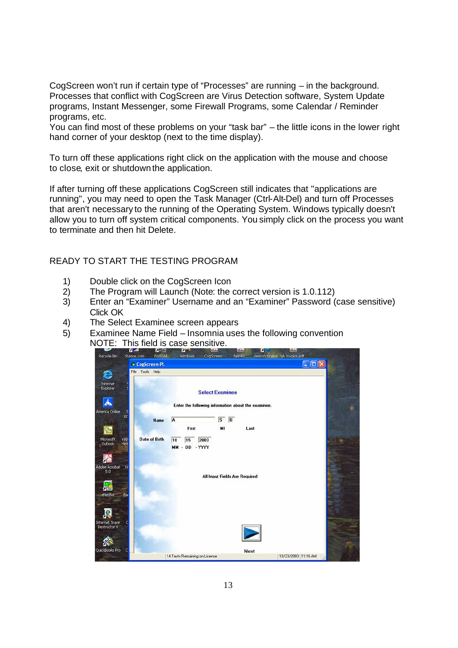CogScreen won't run if certain type of "Processes" are running – in the background. Processes that conflict with CogScreen are Virus Detection software, System Update programs, Instant Messenger, some Firewall Programs, some Calendar / Reminder programs, etc.

You can find most of these problems on your "task bar" – the little icons in the lower right hand corner of your desktop (next to the time display).

To turn off these applications right click on the application with the mouse and choose to close, exit or shutdown the application.

If after turning off these applications CogScreen still indicates that "applications are running", you may need to open the Task Manager (Ctrl-Alt-Del) and turn off Processes that aren't necessary to the running of the Operating System. Windows typically doesn't allow you to turn off system critical components. You simply click on the process you want to terminate and then hit Delete.

# READY TO START THE TESTING PROGRAM

- 1) Double click on the CogScreen Icon
- 2) The Program will Launch (Note: the correct version is 1.0.112)
- 3) Enter an "Examiner" Username and an "Examiner" Password (case sensitive) Click OK
- 4) The Select Examinee screen appears
- 5) Examinee Name Field Insomnia uses the following convention

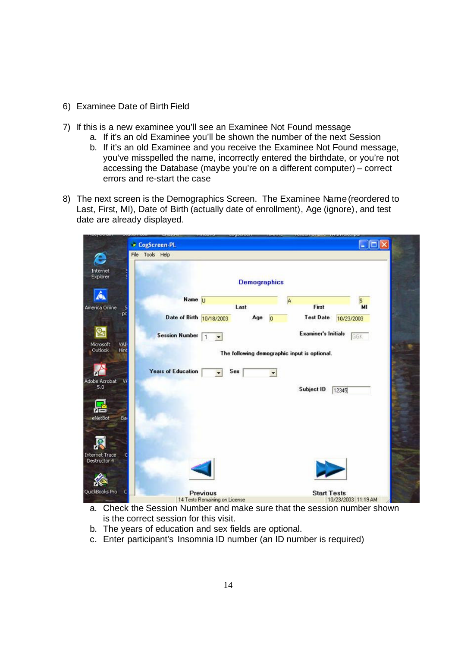- 6) Examinee Date of Birth Field
- 7) If this is a new examinee you'll see an Examinee Not Found message
	- a. If it's an old Examinee you'll be shown the number of the next Session
	- b. If it's an old Examinee and you receive the Examinee Not Found message, you've misspelled the name, incorrectly entered the birthdate, or you're not accessing the Database (maybe you're on a different computer) – correct errors and re-start the case
- 8) The next screen is the Demographics Screen. The Examinee Name (reordered to Last, First, MI), Date of Birth (actually date of enrollment), Age (ignore), and test date are already displayed.

|                                     | CogScreen-PL                                                             | $\Box$ o $\times$   |
|-------------------------------------|--------------------------------------------------------------------------|---------------------|
| e                                   | File Tools Help                                                          |                     |
| Internet<br>Explorer                | <b>Demographics</b>                                                      |                     |
| Â                                   | Name U<br>Α                                                              | S.                  |
| America Online<br>.s                | First<br>Last                                                            | MI                  |
| pc                                  | Date of Birth 10/18/2003<br><b>Test Date</b><br>Age<br>$\overline{0}$    | 10/23/2003          |
| $\mathbf{e}_1$<br>Microsoft<br>VAI. | <b>Examiner's Initials</b><br><b>Session Number</b><br>$\mathbf{1}$<br>۰ | GGK                 |
| Hint<br>Outlook                     | The following demographic input is optional.                             |                     |
|                                     |                                                                          |                     |
|                                     | <b>Years of Education</b><br>Sex<br>۰                                    |                     |
| Adobe Acrobat<br>W                  |                                                                          |                     |
| 5.0                                 | Subject ID<br>12345                                                      |                     |
|                                     |                                                                          |                     |
| ۵È                                  |                                                                          |                     |
| eNetBot<br>Bar                      |                                                                          |                     |
|                                     |                                                                          |                     |
|                                     |                                                                          |                     |
| <b>Internet Trace</b>               |                                                                          |                     |
| Destructor 4                        |                                                                          |                     |
|                                     |                                                                          |                     |
|                                     |                                                                          |                     |
| QuickBooks Pro                      | <b>Start Tests</b><br>Previous                                           |                     |
|                                     | 14 Tests Remaining on License                                            | 10/23/2003 11:19 AM |

- a. Check the Session Number and make sure that the session number shown is the correct session for this visit.
- b. The years of education and sex fields are optional.
- c. Enter participant's Insomnia ID number (an ID number is required)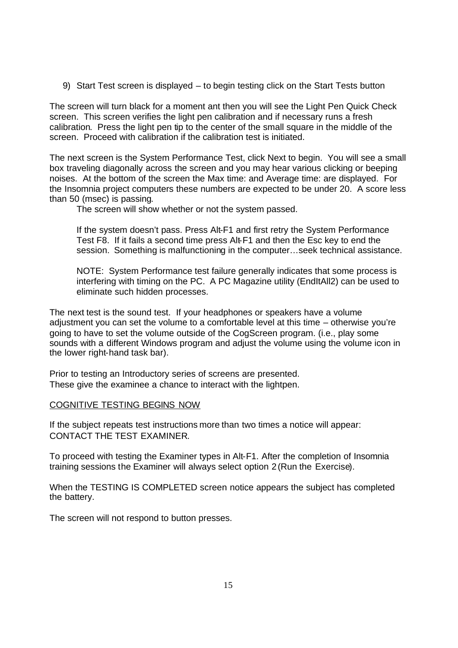9) Start Test screen is displayed – to begin testing click on the Start Tests button

The screen will turn black for a moment ant then you will see the Light Pen Quick Check screen. This screen verifies the light pen calibration and if necessary runs a fresh calibration. Press the light pen tip to the center of the small square in the middle of the screen. Proceed with calibration if the calibration test is initiated.

The next screen is the System Performance Test, click Next to begin. You will see a small box traveling diagonally across the screen and you may hear various clicking or beeping noises. At the bottom of the screen the Max time: and Average time: are displayed. For the Insomnia project computers these numbers are expected to be under 20. A score less than 50 (msec) is passing.

The screen will show whether or not the system passed.

If the system doesn't pass. Press Alt-F1 and first retry the System Performance Test F8. If it fails a second time press Alt-F1 and then the Esc key to end the session. Something is malfunctioning in the computer…seek technical assistance.

NOTE: System Performance test failure generally indicates that some process is interfering with timing on the PC. A PC Magazine utility (EndItAll2) can be used to eliminate such hidden processes.

The next test is the sound test. If your headphones or speakers have a volume adjustment you can set the volume to a comfortable level at this time – otherwise you're going to have to set the volume outside of the CogScreen program. (i.e., play some sounds with a different Windows program and adjust the volume using the volume icon in the lower right-hand task bar).

Prior to testing an Introductory series of screens are presented. These give the examinee a chance to interact with the lightpen.

## COGNITIVE TESTING BEGINS NOW

If the subject repeats test instructions more than two times a notice will appear: CONTACT THE TEST EXAMINER.

To proceed with testing the Examiner types in Alt-F1. After the completion of Insomnia training sessions the Examiner will always select option 2 (Run the Exercise).

When the TESTING IS COMPLETED screen notice appears the subject has completed the battery.

The screen will not respond to button presses.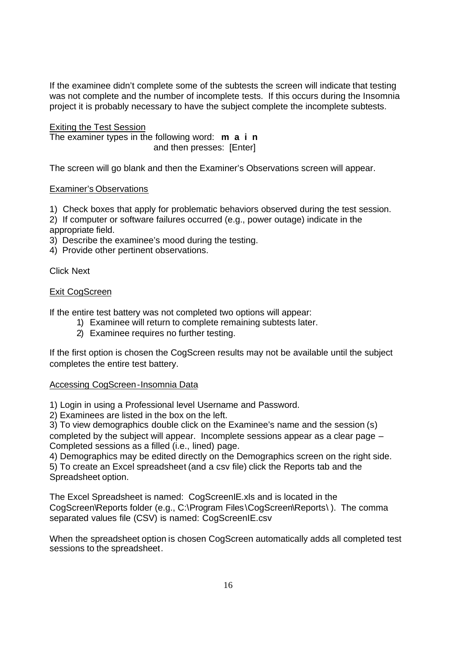If the examinee didn't complete some of the subtests the screen will indicate that testing was not complete and the number of incomplete tests. If this occurs during the Insomnia project it is probably necessary to have the subject complete the incomplete subtests.

Exiting the Test Session The examiner types in the following word: **m a i n** and then presses: [Enter]

The screen will go blank and then the Examiner's Observations screen will appear.

# Examiner's Observations

1) Check boxes that apply for problematic behaviors observed during the test session.

2) If computer or software failures occurred (e.g., power outage) indicate in the appropriate field.

3) Describe the examinee's mood during the testing.

4) Provide other pertinent observations.

Click Next

## Exit CogScreen

If the entire test battery was not completed two options will appear:

- 1) Examinee will return to complete remaining subtests later.
- 2) Examinee requires no further testing.

If the first option is chosen the CogScreen results may not be available until the subject completes the entire test battery.

## Accessing CogScreen-Insomnia Data

1) Login in using a Professional level Username and Password.

2) Examinees are listed in the box on the left.

3) To view demographics double click on the Examinee's name and the session (s) completed by the subject will appear. Incomplete sessions appear as a clear page – Completed sessions as a filled (i.e., lined) page.

4) Demographics may be edited directly on the Demographics screen on the right side.

5) To create an Excel spreadsheet (and a csv file) click the Reports tab and the Spreadsheet option.

The Excel Spreadsheet is named: CogScreenIE.xls and is located in the CogScreen\Reports folder (e.g., C:\Program Files\CogScreen\Reports\ ). The comma separated values file (CSV) is named: CogScreenIE.csv

When the spreadsheet option is chosen CogScreen automatically adds all completed test sessions to the spreadsheet.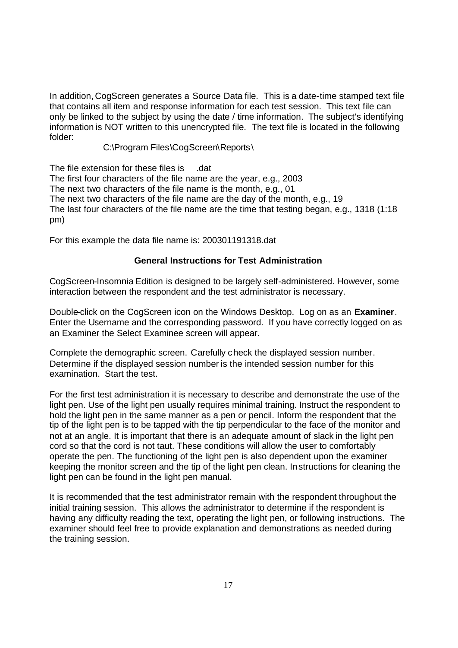In addition, CogScreen generates a Source Data file. This is a date-time stamped text file that contains all item and response information for each test session. This text file can only be linked to the subject by using the date / time information. The subject's identifying information is NOT written to this unencrypted file. The text file is located in the following folder:

# C:\Program Files\CogScreen\Reports\

The file extension for these files is .dat The first four characters of the file name are the year, e.g., 2003 The next two characters of the file name is the month, e.g., 01 The next two characters of the file name are the day of the month, e.g., 19 The last four characters of the file name are the time that testing began, e.g., 1318 (1:18 pm)

For this example the data file name is: 200301191318.dat

## **General Instructions for Test Administration**

CogScreen-Insomnia Edition is designed to be largely self-administered. However, some interaction between the respondent and the test administrator is necessary.

Double-click on the CogScreen icon on the Windows Desktop. Log on as an **Examiner**. Enter the Username and the corresponding password. If you have correctly logged on as an Examiner the Select Examinee screen will appear.

Complete the demographic screen. Carefully check the displayed session number. Determine if the displayed session number is the intended session number for this examination. Start the test.

For the first test administration it is necessary to describe and demonstrate the use of the light pen. Use of the light pen usually requires minimal training. Instruct the respondent to hold the light pen in the same manner as a pen or pencil. Inform the respondent that the tip of the light pen is to be tapped with the tip perpendicular to the face of the monitor and not at an angle. It is important that there is an adequate amount of slack in the light pen cord so that the cord is not taut. These conditions will allow the user to comfortably operate the pen. The functioning of the light pen is also dependent upon the examiner keeping the monitor screen and the tip of the light pen clean. Instructions for cleaning the light pen can be found in the light pen manual.

It is recommended that the test administrator remain with the respondent throughout the initial training session. This allows the administrator to determine if the respondent is having any difficulty reading the text, operating the light pen, or following instructions. The examiner should feel free to provide explanation and demonstrations as needed during the training session.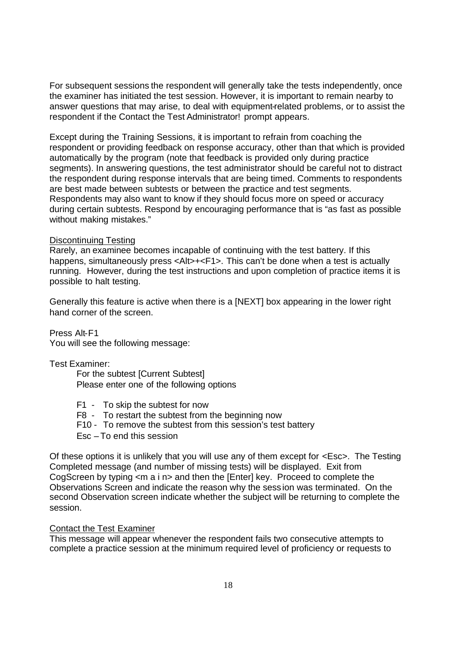For subsequent sessions the respondent will generally take the tests independently, once the examiner has initiated the test session. However, it is important to remain nearby to answer questions that may arise, to deal with equipment-related problems, or to assist the respondent if the Contact the Test Administrator! prompt appears.

Except during the Training Sessions, it is important to refrain from coaching the respondent or providing feedback on response accuracy, other than that which is provided automatically by the program (note that feedback is provided only during practice segments). In answering questions, the test administrator should be careful not to distract the respondent during response intervals that are being timed. Comments to respondents are best made between subtests or between the practice and test segments. Respondents may also want to know if they should focus more on speed or accuracy during certain subtests. Respond by encouraging performance that is "as fast as possible without making mistakes."

# Discontinuing Testing

Rarely, an examinee becomes incapable of continuing with the test battery. If this happens, simultaneously press <Alt>+<F1>. This can't be done when a test is actually running. However, during the test instructions and upon completion of practice items it is possible to halt testing.

Generally this feature is active when there is a [NEXT] box appearing in the lower right hand corner of the screen.

Press Alt-F1 You will see the following message:

Test Examiner:

For the subtest [Current Subtest] Please enter one of the following options

- F1 To skip the subtest for now
- F8 To restart the subtest from the beginning now
- F10 To remove the subtest from this session's test battery
- Esc To end this session

Of these options it is unlikely that you will use any of them except for <Esc>. The Testing Completed message (and number of missing tests) will be displayed. Exit from CogScreen by typing <m a i n> and then the [Enter] key. Proceed to complete the Observations Screen and indicate the reason why the sess ion was terminated. On the second Observation screen indicate whether the subject will be returning to complete the session.

## Contact the Test Examiner

This message will appear whenever the respondent fails two consecutive attempts to complete a practice session at the minimum required level of proficiency or requests to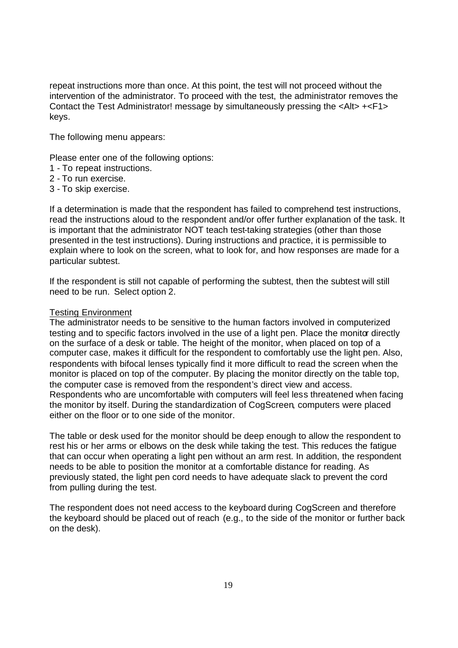repeat instructions more than once. At this point, the test will not proceed without the intervention of the administrator. To proceed with the test, the administrator removes the Contact the Test Administrator! message by simultaneously pressing the <Alt> +<F1> keys.

The following menu appears:

Please enter one of the following options:

- 1 To repeat instructions.
- 2 To run exercise.
- 3 To skip exercise.

If a determination is made that the respondent has failed to comprehend test instructions, read the instructions aloud to the respondent and/or offer further explanation of the task. It is important that the administrator NOT teach test-taking strategies (other than those presented in the test instructions). During instructions and practice, it is permissible to explain where to look on the screen, what to look for, and how responses are made for a particular subtest.

If the respondent is still not capable of performing the subtest, then the subtest will still need to be run. Select option 2.

#### Testing Environment

The administrator needs to be sensitive to the human factors involved in computerized testing and to specific factors involved in the use of a light pen. Place the monitor directly on the surface of a desk or table. The height of the monitor, when placed on top of a computer case, makes it difficult for the respondent to comfortably use the light pen. Also, respondents with bifocal lenses typically find it more difficult to read the screen when the monitor is placed on top of the computer. By placing the monitor directly on the table top, the computer case is removed from the respondent's direct view and access. Respondents who are uncomfortable with computers will feel less threatened when facing the monitor by itself. During the standardization of CogScreen, computers were placed either on the floor or to one side of the monitor.

The table or desk used for the monitor should be deep enough to allow the respondent to rest his or her arms or elbows on the desk while taking the test. This reduces the fatigue that can occur when operating a light pen without an arm rest. In addition, the respondent needs to be able to position the monitor at a comfortable distance for reading. As previously stated, the light pen cord needs to have adequate slack to prevent the cord from pulling during the test.

The respondent does not need access to the keyboard during CogScreen and therefore the keyboard should be placed out of reach (e.g., to the side of the monitor or further back on the desk).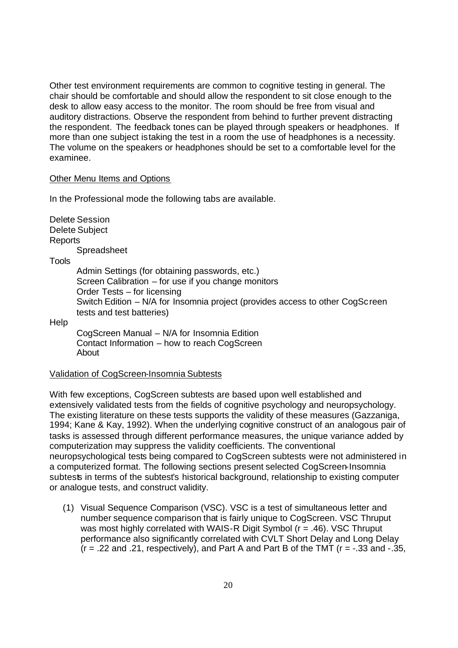Other test environment requirements are common to cognitive testing in general. The chair should be comfortable and should allow the respondent to sit close enough to the desk to allow easy access to the monitor. The room should be free from visual and auditory distractions. Observe the respondent from behind to further prevent distracting the respondent. The feedback tones can be played through speakers or headphones. If more than one subject is taking the test in a room the use of headphones is a necessity. The volume on the speakers or headphones should be set to a comfortable level for the examinee.

#### Other Menu Items and Options

In the Professional mode the following tabs are available.

|         | <b>Delete Session</b><br>Delete Subject                                                                    |
|---------|------------------------------------------------------------------------------------------------------------|
| Reports |                                                                                                            |
|         | Spreadsheet                                                                                                |
| Tools   |                                                                                                            |
|         | Admin Settings (for obtaining passwords, etc.)                                                             |
|         | Screen Calibration $-$ for use if you change monitors                                                      |
|         | Order Tests – for licensing                                                                                |
|         | Switch Edition - N/A for Insomnia project (provides access to other CogScreen<br>tests and test batteries) |
| Help    |                                                                                                            |
|         | CogScreen Manual - N/A for Insomnia Edition<br>Contact Information – how to reach CogScreen<br>About       |

Validation of CogScreen-Insomnia Subtests

With few exceptions, CogScreen subtests are based upon well established and extensively validated tests from the fields of cognitive psychology and neuropsychology. The existing literature on these tests supports the validity of these measures (Gazzaniga, 1994; Kane & Kay, 1992). When the underlying cognitive construct of an analogous pair of tasks is assessed through different performance measures, the unique variance added by computerization may suppress the validity coefficients. The conventional neuropsychological tests being compared to CogScreen subtests were not administered in a computerized format. The following sections present selected CogScreen-Insomnia subtests in terms of the subtest's historical background, relationship to existing computer or analogue tests, and construct validity.

(1) Visual Sequence Comparison (VSC). VSC is a test of simultaneous letter and number sequence comparison that is fairly unique to CogScreen. VSC Thruput was most highly correlated with WAIS-R Digit Symbol (r = .46). VSC Thruput performance also significantly correlated with CVLT Short Delay and Long Delay  $(r = .22$  and .21, respectively), and Part A and Part B of the TMT  $(r = -.33$  and  $-.35$ ,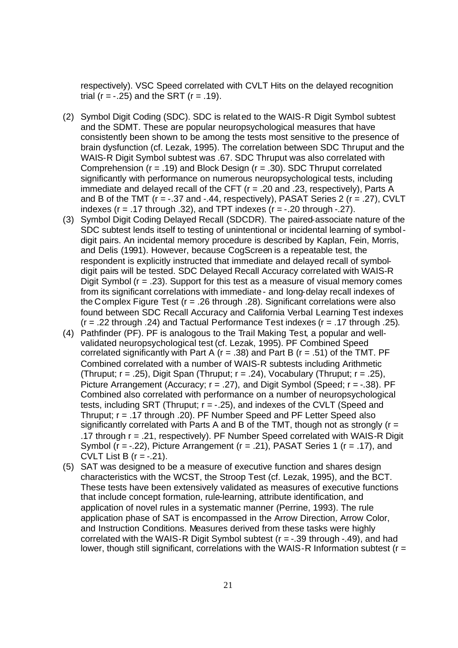respectively). VSC Speed correlated with CVLT Hits on the delayed recognition trial ( $r = -0.25$ ) and the SRT ( $r = 0.19$ ).

- (2) Symbol Digit Coding (SDC). SDC is related to the WAIS-R Digit Symbol subtest and the SDMT. These are popular neuropsychological measures that have consistently been shown to be among the tests most sensitive to the presence of brain dysfunction (cf. Lezak, 1995). The correlation between SDC Thruput and the WAIS-R Digit Symbol subtest was .67. SDC Thruput was also correlated with Comprehension ( $r = .19$ ) and Block Design ( $r = .30$ ). SDC Thruput correlated significantly with performance on numerous neuropsychological tests, including immediate and delayed recall of the CFT (r = .20 and .23, respectively), Parts A and B of the TMT ( $r = -0.37$  and  $-0.44$ , respectively), PASAT Series 2 ( $r = 0.27$ ), CVLT indexes ( $r = .17$  through .32), and TPT indexes ( $r = -0.20$  through  $-0.27$ ).
- (3) Symbol Digit Coding Delayed Recall (SDCDR). The paired-associate nature of the SDC subtest lends itself to testing of unintentional or incidental learning of symboldigit pairs. An incidental memory procedure is described by Kaplan, Fein, Morris, and Delis (1991). However, because CogScreen is a repeatable test, the respondent is explicitly instructed that immediate and delayed recall of symboldigit pairs will be tested. SDC Delayed Recall Accuracy correlated with WAIS-R Digit Symbol  $(r = .23)$ . Support for this test as a measure of visual memory comes from its significant correlations with immediate- and long-delay recall indexes of the Complex Figure Test (r = .26 through .28). Significant correlations were also found between SDC Recall Accuracy and California Verbal Learning Test indexes  $(r = .22$  through .24) and Tactual Performance Test indexes  $(r = .17$  through .25).
- (4) Pathfinder (PF). PF is analogous to the Trail Making Test, a popular and wellvalidated neuropsychological test (cf. Lezak, 1995). PF Combined Speed correlated significantly with Part A ( $r = .38$ ) and Part B ( $r = .51$ ) of the TMT. PF Combined correlated with a number of WAIS-R subtests including Arithmetic (Thruput;  $r = .25$ ), Digit Span (Thruput;  $r = .24$ ), Vocabulary (Thruput;  $r = .25$ ), Picture Arrangement (Accuracy;  $r = .27$ ), and Digit Symbol (Speed;  $r = -.38$ ). PF Combined also correlated with performance on a number of neuropsychological tests, including SRT (Thruput;  $r = -0.25$ ), and indexes of the CVLT (Speed and Thruput; r = .17 through .20). PF Number Speed and PF Letter Speed also significantly correlated with Parts A and B of the TMT, though not as strongly ( $r =$ .17 through  $r = .21$ , respectively). PF Number Speed correlated with WAIS-R Digit Symbol ( $r = -0.22$ ), Picture Arrangement ( $r = 0.21$ ), PASAT Series 1 ( $r = 0.17$ ), and CVLT List B  $(r = -.21)$ .
- (5) SAT was designed to be a measure of executive function and shares design characteristics with the WCST, the Stroop Test (cf. Lezak, 1995), and the BCT. These tests have been extensively validated as measures of executive functions that include concept formation, rule-learning, attribute identification, and application of novel rules in a systematic manner (Perrine, 1993). The rule application phase of SAT is encompassed in the Arrow Direction, Arrow Color, and Instruction Conditions. Measures derived from these tasks were highly correlated with the WAIS-R Digit Symbol subtest  $(r = -0.39)$  through  $-0.49$ , and had lower, though still significant, correlations with the WAIS-R Information subtest ( $r =$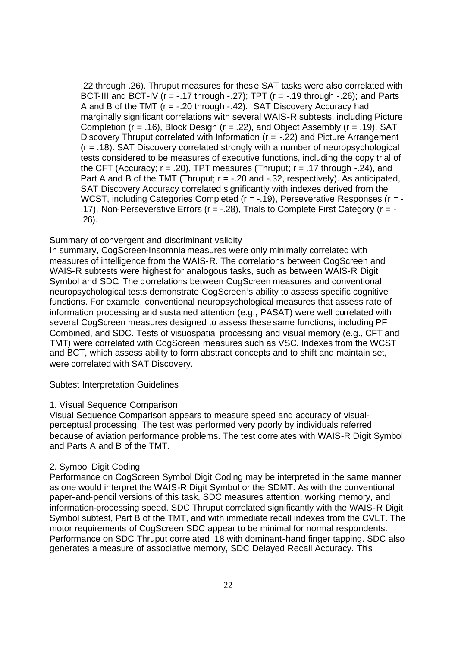.22 through .26). Thruput measures for these SAT tasks were also correlated with BCT-III and BCT-IV ( $r = -.17$  through  $-.27$ ); TPT ( $r = -.19$  through  $-.26$ ); and Parts A and B of the TMT ( $r = -.20$  through  $-.42$ ). SAT Discovery Accuracy had marginally significant correlations with several WAIS-R subtests, including Picture Completion ( $r = .16$ ), Block Design ( $r = .22$ ), and Object Assembly ( $r = .19$ ). SAT Discovery Thruput correlated with Information ( $r = -0.22$ ) and Picture Arrangement (r = .18). SAT Discovery correlated strongly with a number of neuropsychological tests considered to be measures of executive functions, including the copy trial of the CFT (Accuracy;  $r = .20$ ), TPT measures (Thruput;  $r = .17$  through  $-.24$ ), and Part A and B of the TMT (Thruput;  $r = -.20$  and  $-.32$ , respectively). As anticipated, SAT Discovery Accuracy correlated significantly with indexes derived from the WCST, including Categories Completed (r = -.19), Perseverative Responses (r = -.17), Non-Perseverative Errors (r = -.28), Trials to Complete First Category (r = - .26).

#### Summary of convergent and discriminant validity

In summary, CogScreen-Insomnia measures were only minimally correlated with measures of intelligence from the WAIS-R. The correlations between CogScreen and WAIS-R subtests were highest for analogous tasks, such as between WAIS-R Digit Symbol and SDC. The correlations between CogScreen measures and conventional neuropsychological tests demonstrate CogScreen's ability to assess specific cognitive functions. For example, conventional neuropsychological measures that assess rate of information processing and sustained attention (e.g., PASAT) were well correlated with several CogScreen measures designed to assess these same functions, including PF Combined, and SDC. Tests of visuospatial processing and visual memory (e.g., CFT and TMT) were correlated with CogScreen measures such as VSC. Indexes from the WCST and BCT, which assess ability to form abstract concepts and to shift and maintain set, were correlated with SAT Discovery.

#### Subtest Interpretation Guidelines

#### 1. Visual Sequence Comparison

Visual Sequence Comparison appears to measure speed and accuracy of visualperceptual processing. The test was performed very poorly by individuals referred because of aviation performance problems. The test correlates with WAIS-R Digit Symbol and Parts A and B of the TMT.

#### 2. Symbol Digit Coding

Performance on CogScreen Symbol Digit Coding may be interpreted in the same manner as one would interpret the WAIS-R Digit Symbol or the SDMT. As with the conventional paper-and-pencil versions of this task, SDC measures attention, working memory, and information-processing speed. SDC Thruput correlated significantly with the WAIS-R Digit Symbol subtest, Part B of the TMT, and with immediate recall indexes from the CVLT. The motor requirements of CogScreen SDC appear to be minimal for normal respondents. Performance on SDC Thruput correlated .18 with dominant-hand finger tapping. SDC also generates a measure of associative memory, SDC Delayed Recall Accuracy. This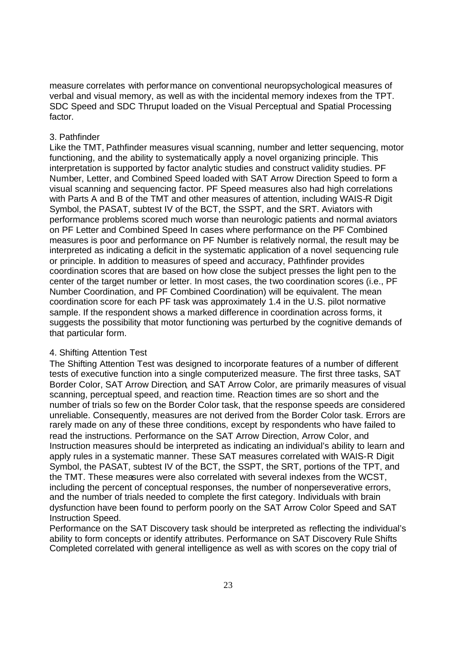measure correlates with performance on conventional neuropsychological measures of verbal and visual memory, as well as with the incidental memory indexes from the TPT. SDC Speed and SDC Thruput loaded on the Visual Perceptual and Spatial Processing factor.

#### 3. Pathfinder

Like the TMT, Pathfinder measures visual scanning, number and letter sequencing, motor functioning, and the ability to systematically apply a novel organizing principle. This interpretation is supported by factor analytic studies and construct validity studies. PF Number, Letter, and Combined Speed loaded with SAT Arrow Direction Speed to form a visual scanning and sequencing factor. PF Speed measures also had high correlations with Parts A and B of the TMT and other measures of attention, including WAIS-R Digit Symbol, the PASAT, subtest IV of the BCT, the SSPT, and the SRT. Aviators with performance problems scored much worse than neurologic patients and normal aviators on PF Letter and Combined Speed In cases where performance on the PF Combined measures is poor and performance on PF Number is relatively normal, the result may be interpreted as indicating a deficit in the systematic application of a novel sequencing rule or principle. In addition to measures of speed and accuracy, Pathfinder provides coordination scores that are based on how close the subject presses the light pen to the center of the target number or letter. In most cases, the two coordination scores (i.e., PF Number Coordination, and PF Combined Coordination) will be equivalent. The mean coordination score for each PF task was approximately 1.4 in the U.S. pilot normative sample. If the respondent shows a marked difference in coordination across forms, it suggests the possibility that motor functioning was perturbed by the cognitive demands of that particular form.

## 4. Shifting Attention Test

The Shifting Attention Test was designed to incorporate features of a number of different tests of executive function into a single computerized measure. The first three tasks, SAT Border Color, SAT Arrow Direction, and SAT Arrow Color, are primarily measures of visual scanning, perceptual speed, and reaction time. Reaction times are so short and the number of trials so few on the Border Color task, that the response speeds are considered unreliable. Consequently, measures are not derived from the Border Color task. Errors are rarely made on any of these three conditions, except by respondents who have failed to read the instructions. Performance on the SAT Arrow Direction, Arrow Color, and Instruction measures should be interpreted as indicating an individual's ability to learn and apply rules in a systematic manner. These SAT measures correlated with WAIS-R Digit Symbol, the PASAT, subtest IV of the BCT, the SSPT, the SRT, portions of the TPT, and the TMT. These measures were also correlated with several indexes from the WCST, including the percent of conceptual responses, the number of nonperseverative errors, and the number of trials needed to complete the first category. Individuals with brain dysfunction have been found to perform poorly on the SAT Arrow Color Speed and SAT Instruction Speed.

Performance on the SAT Discovery task should be interpreted as reflecting the individual's ability to form concepts or identify attributes. Performance on SAT Discovery Rule Shifts Completed correlated with general intelligence as well as with scores on the copy trial of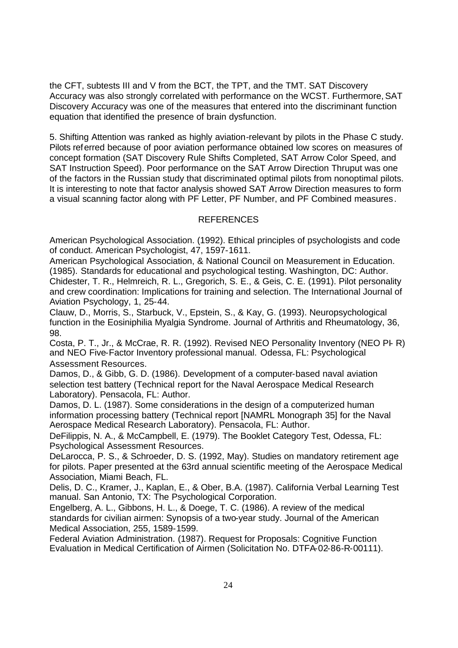the CFT, subtests III and V from the BCT, the TPT, and the TMT. SAT Discovery Accuracy was also strongly correlated with performance on the WCST. Furthermore, SAT Discovery Accuracy was one of the measures that entered into the discriminant function equation that identified the presence of brain dysfunction.

5. Shifting Attention was ranked as highly aviation-relevant by pilots in the Phase C study. Pilots referred because of poor aviation performance obtained low scores on measures of concept formation (SAT Discovery Rule Shifts Completed, SAT Arrow Color Speed, and SAT Instruction Speed). Poor performance on the SAT Arrow Direction Thruput was one of the factors in the Russian study that discriminated optimal pilots from nonoptimal pilots. It is interesting to note that factor analysis showed SAT Arrow Direction measures to form a visual scanning factor along with PF Letter, PF Number, and PF Combined measures.

# REFERENCES

American Psychological Association. (1992). Ethical principles of psychologists and code of conduct. American Psychologist, 47, 1597-1611.

American Psychological Association, & National Council on Measurement in Education. (1985). Standards for educational and psychological testing. Washington, DC: Author. Chidester, T. R., Helmreich, R. L., Gregorich, S. E., & Geis, C. E. (1991). Pilot personality and crew coordination: Implications for training and selection. The International Journal of Aviation Psychology, 1, 25-44.

Clauw, D., Morris, S., Starbuck, V., Epstein, S., & Kay, G. (1993). Neuropsychological function in the Eosiniphilia Myalgia Syndrome. Journal of Arthritis and Rheumatology, 36, 98.

Costa, P. T., Jr., & McCrae, R. R. (1992). Revised NEO Personality Inventory (NEO PI- R) and NEO Five-Factor Inventory professional manual. Odessa, FL: Psychological Assessment Resources.

Damos, D., & Gibb, G. D. (1986). Development of a computer-based naval aviation selection test battery (Technical report for the Naval Aerospace Medical Research Laboratory). Pensacola, FL: Author.

Damos, D. L. (1987). Some considerations in the design of a computerized human information processing battery (Technical report [NAMRL Monograph 35] for the Naval Aerospace Medical Research Laboratory). Pensacola, FL: Author.

DeFilippis, N. A., & McCampbell, E. (1979). The Booklet Category Test, Odessa, FL: Psychological Assessment Resources.

DeLarocca, P. S., & Schroeder, D. S. (1992, May). Studies on mandatory retirement age for pilots. Paper presented at the 63rd annual scientific meeting of the Aerospace Medical Association, Miami Beach, FL.

Delis, D. C., Kramer, J., Kaplan, E., & Ober, B.A. (1987). California Verbal Learning Test manual. San Antonio, TX: The Psychological Corporation.

Engelberg, A. L., Gibbons, H. L., & Doege, T. C. (1986). A review of the medical standards for civilian airmen: Synopsis of a two-year study. Journal of the American Medical Association, 255, 1589-1599.

Federal Aviation Administration. (1987). Request for Proposals: Cognitive Function Evaluation in Medical Certification of Airmen (Solicitation No. DTFA-02-86-R-00111).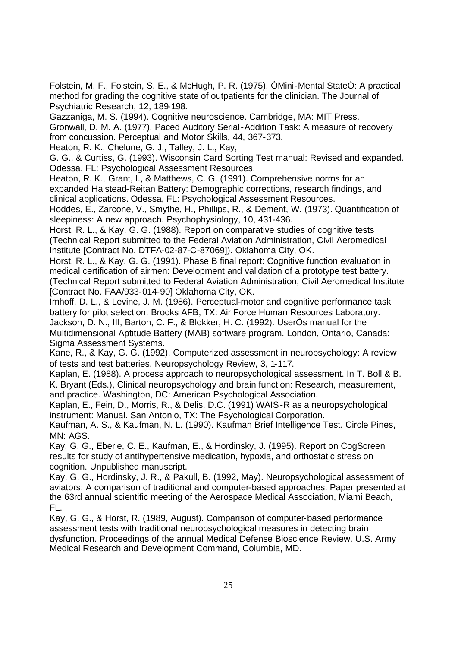Folstein, M. F., Folstein, S. E., & McHugh, P. R. (1975). ÒMini-Mental StateÓ: A practical method for grading the cognitive state of outpatients for the clinician. The Journal of Psychiatric Research, 12, 189-198.

Gazzaniga, M. S. (1994). Cognitive neuroscience. Cambridge, MA: MIT Press. Gronwall, D. M. A. (1977). Paced Auditory Serial-Addition Task: A measure of recovery from concussion. Perceptual and Motor Skills, 44, 367-373.

Heaton, R. K., Chelune, G. J., Talley, J. L., Kay,

G. G., & Curtiss, G. (1993). Wisconsin Card Sorting Test manual: Revised and expanded. Odessa, FL: Psychological Assessment Resources.

Heaton, R. K., Grant, I., & Matthews, C. G. (1991). Comprehensive norms for an expanded Halstead-Reitan Battery: Demographic corrections, research findings, and clinical applications. Odessa, FL: Psychological Assessment Resources.

Hoddes, E., Zarcone, V., Smythe, H., Phillips, R., & Dement, W. (1973). Quantification of sleepiness: A new approach. Psychophysiology, 10, 431-436.

Horst, R. L., & Kay, G. G. (1988). Report on comparative studies of cognitive tests (Technical Report submitted to the Federal Aviation Administration, Civil Aeromedical Institute [Contract No. DTFA-02-87-C-87069]). Oklahoma City, OK.

Horst, R. L., & Kay, G. G. (1991). Phase B final report: Cognitive function evaluation in medical certification of airmen: Development and validation of a prototype test battery. (Technical Report submitted to Federal Aviation Administration, Civil Aeromedical Institute [Contract No. FAA/933-014-90] Oklahoma City, OK.

Imhoff, D. L., & Levine, J. M. (1986). Perceptual-motor and cognitive performance task battery for pilot selection. Brooks AFB, TX: Air Force Human Resources Laboratory. Jackson, D. N., III, Barton, C. F., & Blokker, H. C. (1992). UserÕs manual for the Multidimensional Aptitude Battery (MAB) software program. London, Ontario, Canada: Sigma Assessment Systems.

Kane, R., & Kay, G. G. (1992). Computerized assessment in neuropsychology: A review of tests and test batteries. Neuropsychology Review, 3, 1-117.

Kaplan, E. (1988). A process approach to neuropsychological assessment. In T. Boll & B. K. Bryant (Eds.), Clinical neuropsychology and brain function: Research, measurement, and practice. Washington, DC: American Psychological Association.

Kaplan, E., Fein, D., Morris, R., & Delis, D.C. (1991) WAIS-R as a neuropsychological instrument: Manual. San Antonio, TX: The Psychological Corporation.

Kaufman, A. S., & Kaufman, N. L. (1990). Kaufman Brief Intelligence Test. Circle Pines, MN: AGS.

Kay, G. G., Eberle, C. E., Kaufman, E., & Hordinsky, J. (1995). Report on CogScreen results for study of antihypertensive medication, hypoxia, and orthostatic stress on cognition. Unpublished manuscript.

Kay, G. G., Hordinsky, J. R., & Pakull, B. (1992, May). Neuropsychological assessment of aviators: A comparison of traditional and computer-based approaches. Paper presented at the 63rd annual scientific meeting of the Aerospace Medical Association, Miami Beach, FL.

Kay, G. G., & Horst, R. (1989, August). Comparison of computer-based performance assessment tests with traditional neuropsychological measures in detecting brain dysfunction. Proceedings of the annual Medical Defense Bioscience Review. U.S. Army Medical Research and Development Command, Columbia, MD.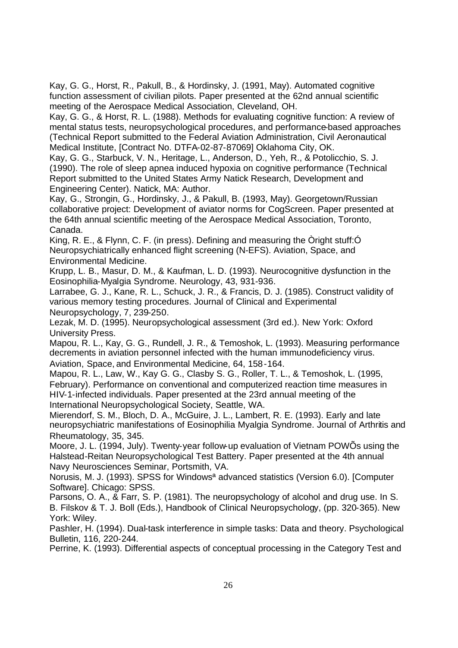Kay, G. G., Horst, R., Pakull, B., & Hordinsky, J. (1991, May). Automated cognitive function assessment of civilian pilots. Paper presented at the 62nd annual scientific meeting of the Aerospace Medical Association, Cleveland, OH.

Kay, G. G., & Horst, R. L. (1988). Methods for evaluating cognitive function: A review of mental status tests, neuropsychological procedures, and performance-based approaches (Technical Report submitted to the Federal Aviation Administration, Civil Aeronautical Medical Institute, [Contract No. DTFA-02-87-87069] Oklahoma City, OK.

Kay, G. G., Starbuck, V. N., Heritage, L., Anderson, D., Yeh, R., & Potolicchio, S. J. (1990). The role of sleep apnea induced hypoxia on cognitive performance (Technical Report submitted to the United States Army Natick Research, Development and Engineering Center). Natick, MA: Author.

Kay, G., Strongin, G., Hordinsky, J., & Pakull, B. (1993, May). Georgetown/Russian collaborative project: Development of aviator norms for CogScreen. Paper presented at the 64th annual scientific meeting of the Aerospace Medical Association, Toronto, Canada.

King, R. E., & Flynn, C. F. (in press). Defining and measuring the Òright stuff:Ó Neuropsychiatrically enhanced flight screening (N-EFS). Aviation, Space, and Environmental Medicine.

Krupp, L. B., Masur, D. M., & Kaufman, L. D. (1993). Neurocognitive dysfunction in the Eosinophilia-Myalgia Syndrome. Neurology, 43, 931-936.

Larrabee, G. J., Kane, R. L., Schuck, J. R., & Francis, D. J. (1985). Construct validity of various memory testing procedures. Journal of Clinical and Experimental Neuropsychology, 7, 239-250.

Lezak, M. D. (1995). Neuropsychological assessment (3rd ed.). New York: Oxford University Press.

Mapou, R. L., Kay, G. G., Rundell, J. R., & Temoshok, L. (1993). Measuring performance decrements in aviation personnel infected with the human immunodeficiency virus. Aviation, Space, and Environmental Medicine, 64, 158-164.

Mapou, R. L., Law, W., Kay G. G., Clasby S. G., Roller, T. L., & Temoshok, L. (1995, February). Performance on conventional and computerized reaction time measures in HIV-1-infected individuals. Paper presented at the 23rd annual meeting of the International Neuropsychological Society, Seattle, WA.

Mierendorf, S. M., Bloch, D. A., McGuire, J. L., Lambert, R. E. (1993). Early and late neuropsychiatric manifestations of Eosinophilia Myalgia Syndrome. Journal of Arthritis and Rheumatology, 35, 345.

Moore, J. L. (1994, July). Twenty-year follow-up evaluation of Vietnam POWÕs using the Halstead-Reitan Neuropsychological Test Battery. Paper presented at the 4th annual Navy Neurosciences Seminar, Portsmith, VA.

Norusis, M. J. (1993). SPSS for Windowsª advanced statistics (Version 6.0). [Computer Software]. Chicago: SPSS.

Parsons, O. A., & Farr, S. P. (1981). The neuropsychology of alcohol and drug use. In S. B. Filskov & T. J. Boll (Eds.), Handbook of Clinical Neuropsychology, (pp. 320-365). New York: Wiley.

Pashler, H. (1994). Dual-task interference in simple tasks: Data and theory. Psychological Bulletin, 116, 220-244.

Perrine, K. (1993). Differential aspects of conceptual processing in the Category Test and